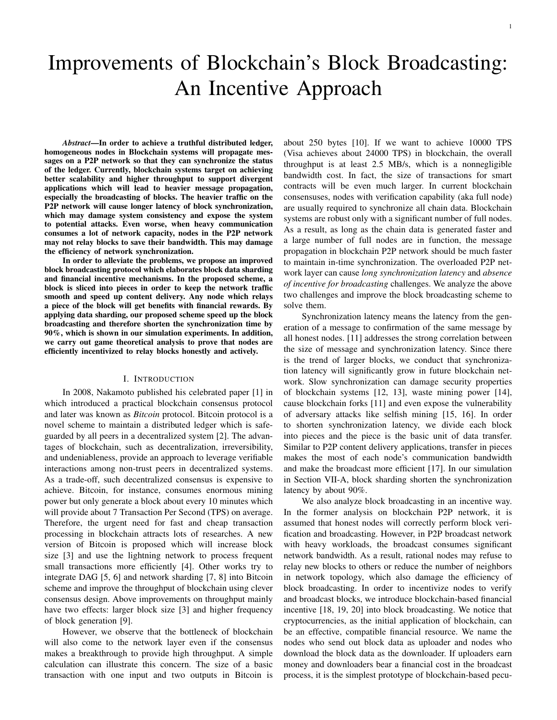# Improvements of Blockchain's Block Broadcasting: An Incentive Approach

*Abstract*—In order to achieve a truthful distributed ledger, homogeneous nodes in Blockchain systems will propagate messages on a P2P network so that they can synchronize the status of the ledger. Currently, blockchain systems target on achieving better scalability and higher throughput to support divergent applications which will lead to heavier message propagation, especially the broadcasting of blocks. The heavier traffic on the P2P network will cause longer latency of block synchronization, which may damage system consistency and expose the system to potential attacks. Even worse, when heavy communication consumes a lot of network capacity, nodes in the P2P network may not relay blocks to save their bandwidth. This may damage the efficiency of network synchronization.

In order to alleviate the problems, we propose an improved block broadcasting protocol which elaborates block data sharding and financial incentive mechanisms. In the proposed scheme, a block is sliced into pieces in order to keep the network traffic smooth and speed up content delivery. Any node which relays a piece of the block will get benefits with financial rewards. By applying data sharding, our proposed scheme speed up the block broadcasting and therefore shorten the synchronization time by 90%, which is shown in our simulation experiments. In addition, we carry out game theoretical analysis to prove that nodes are efficiently incentivized to relay blocks honestly and actively.

## I. INTRODUCTION

In 2008, Nakamoto published his celebrated paper [1] in which introduced a practical blockchain consensus protocol and later was known as *Bitcoin* protocol. Bitcoin protocol is a novel scheme to maintain a distributed ledger which is safeguarded by all peers in a decentralized system [2]. The advantages of blockchain, such as decentralization, irreversibility, and undeniableness, provide an approach to leverage verifiable interactions among non-trust peers in decentralized systems. As a trade-off, such decentralized consensus is expensive to achieve. Bitcoin, for instance, consumes enormous mining power but only generate a block about every 10 minutes which will provide about 7 Transaction Per Second (TPS) on average. Therefore, the urgent need for fast and cheap transaction processing in blockchain attracts lots of researches. A new version of Bitcoin is proposed which will increase block size [3] and use the lightning network to process frequent small transactions more efficiently [4]. Other works try to integrate DAG [5, 6] and network sharding [7, 8] into Bitcoin scheme and improve the throughput of blockchain using clever consensus design. Above improvements on throughput mainly have two effects: larger block size [3] and higher frequency of block generation [9].

However, we observe that the bottleneck of blockchain will also come to the network layer even if the consensus makes a breakthrough to provide high throughput. A simple calculation can illustrate this concern. The size of a basic transaction with one input and two outputs in Bitcoin is about 250 bytes [10]. If we want to achieve 10000 TPS (Visa achieves about 24000 TPS) in blockchain, the overall throughput is at least 2.5 MB/s, which is a nonnegligible bandwidth cost. In fact, the size of transactions for smart contracts will be even much larger. In current blockchain consensuses, nodes with verification capability (aka full node) are usually required to synchronize all chain data. Blockchain systems are robust only with a significant number of full nodes. As a result, as long as the chain data is generated faster and a large number of full nodes are in function, the message propagation in blockchain P2P network should be much faster to maintain in-time synchronization. The overloaded P2P network layer can cause *long synchronization latency* and *absence of incentive for broadcasting* challenges. We analyze the above two challenges and improve the block broadcasting scheme to solve them.

Synchronization latency means the latency from the generation of a message to confirmation of the same message by all honest nodes. [11] addresses the strong correlation between the size of message and synchronization latency. Since there is the trend of larger blocks, we conduct that synchronization latency will significantly grow in future blockchain network. Slow synchronization can damage security properties of blockchain systems [12, 13], waste mining power [14], cause blockchain forks [11] and even expose the vulnerability of adversary attacks like selfish mining [15, 16]. In order to shorten synchronization latency, we divide each block into pieces and the piece is the basic unit of data transfer. Similar to P2P content delivery applications, transfer in pieces makes the most of each node's communication bandwidth and make the broadcast more efficient [17]. In our simulation in Section VII-A, block sharding shorten the synchronization latency by about 90%.

We also analyze block broadcasting in an incentive way. In the former analysis on blockchain P2P network, it is assumed that honest nodes will correctly perform block verification and broadcasting. However, in P2P broadcast network with heavy workloads, the broadcast consumes significant network bandwidth. As a result, rational nodes may refuse to relay new blocks to others or reduce the number of neighbors in network topology, which also damage the efficiency of block broadcasting. In order to incentivize nodes to verify and broadcast blocks, we introduce blockchain-based financial incentive [18, 19, 20] into block broadcasting. We notice that cryptocurrencies, as the initial application of blockchain, can be an effective, compatible financial resource. We name the nodes who send out block data as uploader and nodes who download the block data as the downloader. If uploaders earn money and downloaders bear a financial cost in the broadcast process, it is the simplest prototype of blockchain-based pecu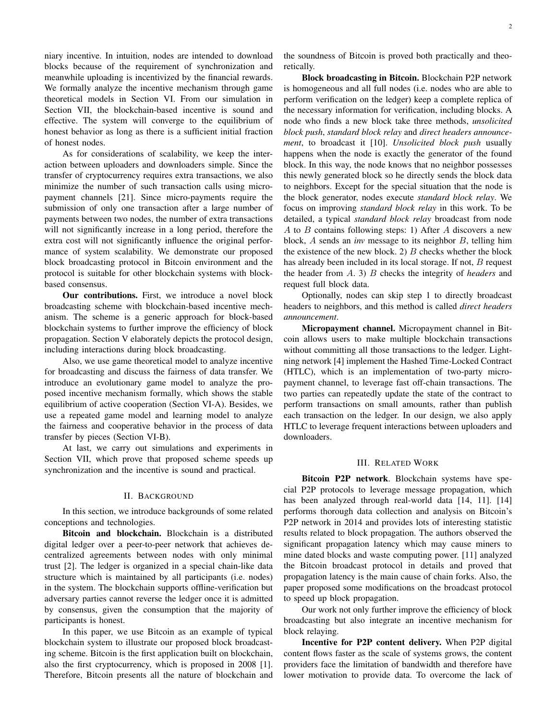niary incentive. In intuition, nodes are intended to download blocks because of the requirement of synchronization and meanwhile uploading is incentivized by the financial rewards. We formally analyze the incentive mechanism through game theoretical models in Section VI. From our simulation in Section VII, the blockchain-based incentive is sound and effective. The system will converge to the equilibrium of honest behavior as long as there is a sufficient initial fraction of honest nodes.

As for considerations of scalability, we keep the interaction between uploaders and downloaders simple. Since the transfer of cryptocurrency requires extra transactions, we also minimize the number of such transaction calls using micropayment channels [21]. Since micro-payments require the submission of only one transaction after a large number of payments between two nodes, the number of extra transactions will not significantly increase in a long period, therefore the extra cost will not significantly influence the original performance of system scalability. We demonstrate our proposed block broadcasting protocol in Bitcoin environment and the protocol is suitable for other blockchain systems with blockbased consensus.

Our contributions. First, we introduce a novel block broadcasting scheme with blockchain-based incentive mechanism. The scheme is a generic approach for block-based blockchain systems to further improve the efficiency of block propagation. Section V elaborately depicts the protocol design, including interactions during block broadcasting.

Also, we use game theoretical model to analyze incentive for broadcasting and discuss the fairness of data transfer. We introduce an evolutionary game model to analyze the proposed incentive mechanism formally, which shows the stable equilibrium of active cooperation (Section VI-A). Besides, we use a repeated game model and learning model to analyze the fairness and cooperative behavior in the process of data transfer by pieces (Section VI-B).

At last, we carry out simulations and experiments in Section VII, which prove that proposed scheme speeds up synchronization and the incentive is sound and practical.

## II. BACKGROUND

In this section, we introduce backgrounds of some related conceptions and technologies.

Bitcoin and blockchain. Blockchain is a distributed digital ledger over a peer-to-peer network that achieves decentralized agreements between nodes with only minimal trust [2]. The ledger is organized in a special chain-like data structure which is maintained by all participants (i.e. nodes) in the system. The blockchain supports offline-verification but adversary parties cannot reverse the ledger once it is admitted by consensus, given the consumption that the majority of participants is honest.

In this paper, we use Bitcoin as an example of typical blockchain system to illustrate our proposed block broadcasting scheme. Bitcoin is the first application built on blockchain, also the first cryptocurrency, which is proposed in 2008 [1]. Therefore, Bitcoin presents all the nature of blockchain and the soundness of Bitcoin is proved both practically and theoretically.

Block broadcasting in Bitcoin. Blockchain P2P network is homogeneous and all full nodes (i.e. nodes who are able to perform verification on the ledger) keep a complete replica of the necessary information for verification, including blocks. A node who finds a new block take three methods, *unsolicited block push*, *standard block relay* and *direct headers announcement*, to broadcast it [10]. *Unsolicited block push* usually happens when the node is exactly the generator of the found block. In this way, the node knows that no neighbor possesses this newly generated block so he directly sends the block data to neighbors. Except for the special situation that the node is the block generator, nodes execute *standard block relay*. We focus on improving *standard block relay* in this work. To be detailed, a typical *standard block relay* broadcast from node A to B contains following steps: 1) After A discovers a new block, A sends an *inv* message to its neighbor B, telling him the existence of the new block. 2)  $B$  checks whether the block has already been included in its local storage. If not, B request the header from A. 3) B checks the integrity of *headers* and request full block data.

Optionally, nodes can skip step 1 to directly broadcast headers to neighbors, and this method is called *direct headers announcement*.

Micropayment channel. Micropayment channel in Bitcoin allows users to make multiple blockchain transactions without committing all those transactions to the ledger. Lightning network [4] implement the Hashed Time-Locked Contract (HTLC), which is an implementation of two-party micropayment channel, to leverage fast off-chain transactions. The two parties can repeatedly update the state of the contract to perform transactions on small amounts, rather than publish each transaction on the ledger. In our design, we also apply HTLC to leverage frequent interactions between uploaders and downloaders.

#### III. RELATED WORK

Bitcoin P2P network. Blockchain systems have special P2P protocols to leverage message propagation, which has been analyzed through real-world data [14, 11]. [14] performs thorough data collection and analysis on Bitcoin's P2P network in 2014 and provides lots of interesting statistic results related to block propagation. The authors observed the significant propagation latency which may cause miners to mine dated blocks and waste computing power. [11] analyzed the Bitcoin broadcast protocol in details and proved that propagation latency is the main cause of chain forks. Also, the paper proposed some modifications on the broadcast protocol to speed up block propagation.

Our work not only further improve the efficiency of block broadcasting but also integrate an incentive mechanism for block relaying.

Incentive for P2P content delivery. When P2P digital content flows faster as the scale of systems grows, the content providers face the limitation of bandwidth and therefore have lower motivation to provide data. To overcome the lack of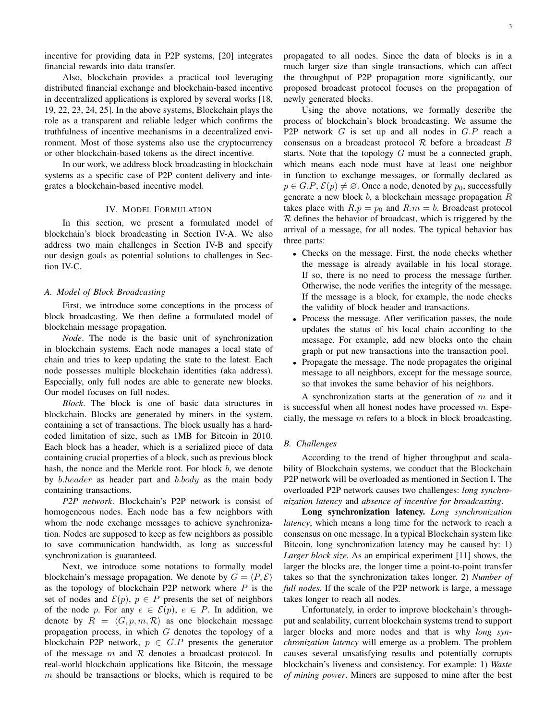Also, blockchain provides a practical tool leveraging distributed financial exchange and blockchain-based incentive in decentralized applications is explored by several works [18, 19, 22, 23, 24, 25]. In the above systems, Blockchain plays the role as a transparent and reliable ledger which confirms the truthfulness of incentive mechanisms in a decentralized environment. Most of those systems also use the cryptocurrency or other blockchain-based tokens as the direct incentive.

In our work, we address block broadcasting in blockchain systems as a specific case of P2P content delivery and integrates a blockchain-based incentive model.

# IV. MODEL FORMULATION

In this section, we present a formulated model of blockchain's block broadcasting in Section IV-A. We also address two main challenges in Section IV-B and specify our design goals as potential solutions to challenges in Section IV-C.

#### *A. Model of Block Broadcasting*

First, we introduce some conceptions in the process of block broadcasting. We then define a formulated model of blockchain message propagation.

*Node*. The node is the basic unit of synchronization in blockchain systems. Each node manages a local state of chain and tries to keep updating the state to the latest. Each node possesses multiple blockchain identities (aka address). Especially, only full nodes are able to generate new blocks. Our model focuses on full nodes.

*Block*. The block is one of basic data structures in blockchain. Blocks are generated by miners in the system, containing a set of transactions. The block usually has a hardcoded limitation of size, such as 1MB for Bitcoin in 2010. Each block has a header, which is a serialized piece of data containing crucial properties of a block, such as previous block hash, the nonce and the Merkle root. For block b, we denote by *b.header* as header part and *b.body* as the main body containing transactions.

*P2P network*. Blockchain's P2P network is consist of homogeneous nodes. Each node has a few neighbors with whom the node exchange messages to achieve synchronization. Nodes are supposed to keep as few neighbors as possible to save communication bandwidth, as long as successful synchronization is guaranteed.

Next, we introduce some notations to formally model blockchain's message propagation. We denote by  $G = \langle P, \mathcal{E} \rangle$ as the topology of blockchain P2P network where  $P$  is the set of nodes and  $\mathcal{E}(p)$ ,  $p \in P$  presents the set of neighbors of the node p. For any  $e \in \mathcal{E}(p)$ ,  $e \in P$ . In addition, we denote by  $R = \langle G, p, m, \mathcal{R} \rangle$  as one blockchain message propagation process, in which  $G$  denotes the topology of a blockchain P2P network,  $p \in G.P$  presents the generator of the message  $m$  and  $R$  denotes a broadcast protocol. In real-world blockchain applications like Bitcoin, the message  $m$  should be transactions or blocks, which is required to be

propagated to all nodes. Since the data of blocks is in a much larger size than single transactions, which can affect the throughput of P2P propagation more significantly, our proposed broadcast protocol focuses on the propagation of newly generated blocks.

Using the above notations, we formally describe the process of blockchain's block broadcasting. We assume the P2P network G is set up and all nodes in G.P reach a consensus on a broadcast protocol  $R$  before a broadcast  $B$ starts. Note that the topology  $G$  must be a connected graph, which means each node must have at least one neighbor in function to exchange messages, or formally declared as  $p \in G.P$ ,  $\mathcal{E}(p) \neq \emptyset$ . Once a node, denoted by  $p_0$ , successfully generate a new block  $b$ , a blockchain message propagation  $R$ takes place with  $R.p = p_0$  and  $R.m = b$ . Broadcast protocol  $R$  defines the behavior of broadcast, which is triggered by the arrival of a message, for all nodes. The typical behavior has three parts:

- Checks on the message. First, the node checks whether the message is already available in his local storage. If so, there is no need to process the message further. Otherwise, the node verifies the integrity of the message. If the message is a block, for example, the node checks the validity of block header and transactions.
- Process the message. After verification passes, the node updates the status of his local chain according to the message. For example, add new blocks onto the chain graph or put new transactions into the transaction pool.
- Propagate the message. The node propagates the original message to all neighbors, except for the message source, so that invokes the same behavior of his neighbors.

A synchronization starts at the generation of  $m$  and it is successful when all honest nodes have processed  $m$ . Especially, the message  $m$  refers to a block in block broadcasting.

## *B. Challenges*

According to the trend of higher throughput and scalability of Blockchain systems, we conduct that the Blockchain P2P network will be overloaded as mentioned in Section I. The overloaded P2P network causes two challenges: *long synchronization latency* and *absence of incentive for broadcasting*.

Long synchronization latency. *Long synchronization latency*, which means a long time for the network to reach a consensus on one message. In a typical Blockchain system like Bitcoin, long synchronization latency may be caused by: 1) *Larger block size.* As an empirical experiment [11] shows, the larger the blocks are, the longer time a point-to-point transfer takes so that the synchronization takes longer. 2) *Number of full nodes.* If the scale of the P2P network is large, a message takes longer to reach all nodes.

Unfortunately, in order to improve blockchain's throughput and scalability, current blockchain systems trend to support larger blocks and more nodes and that is why *long synchronization latency* will emerge as a problem. The problem causes several unsatisfying results and potentially corrupts blockchain's liveness and consistency. For example: 1) *Waste of mining power*. Miners are supposed to mine after the best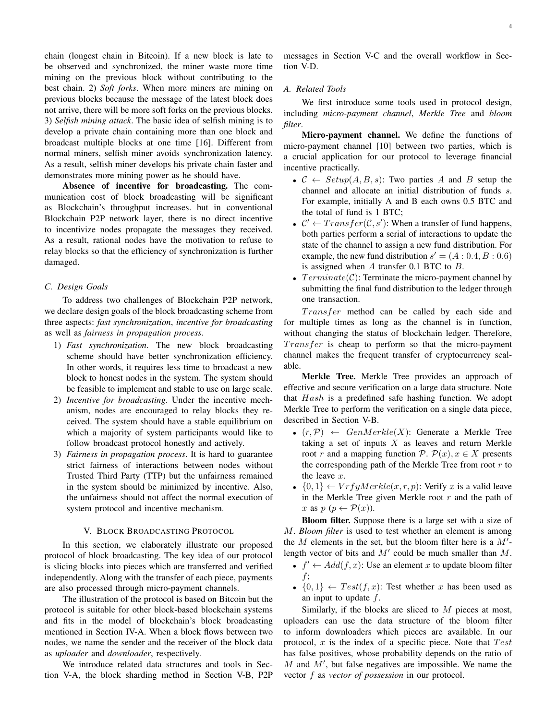chain (longest chain in Bitcoin). If a new block is late to be observed and synchronized, the miner waste more time mining on the previous block without contributing to the best chain. 2) *Soft forks*. When more miners are mining on previous blocks because the message of the latest block does not arrive, there will be more soft forks on the previous blocks. 3) *Selfish mining attack*. The basic idea of selfish mining is to develop a private chain containing more than one block and broadcast multiple blocks at one time [16]. Different from normal miners, selfish miner avoids synchronization latency. As a result, selfish miner develops his private chain faster and demonstrates more mining power as he should have.

Absence of incentive for broadcasting. The communication cost of block broadcasting will be significant as Blockchain's throughput increases. but in conventional Blockchain P2P network layer, there is no direct incentive to incentivize nodes propagate the messages they received. As a result, rational nodes have the motivation to refuse to relay blocks so that the efficiency of synchronization is further damaged.

#### *C. Design Goals*

To address two challenges of Blockchain P2P network, we declare design goals of the block broadcasting scheme from three aspects: *fast synchronization*, *incentive for broadcasting* as well as *fairness in propagation process*.

- 1) *Fast synchronization*. The new block broadcasting scheme should have better synchronization efficiency. In other words, it requires less time to broadcast a new block to honest nodes in the system. The system should be feasible to implement and stable to use on large scale.
- 2) *Incentive for broadcasting*. Under the incentive mechanism, nodes are encouraged to relay blocks they received. The system should have a stable equilibrium on which a majority of system participants would like to follow broadcast protocol honestly and actively.
- 3) *Fairness in propagation process*. It is hard to guarantee strict fairness of interactions between nodes without Trusted Third Party (TTP) but the unfairness remained in the system should be minimized by incentive. Also, the unfairness should not affect the normal execution of system protocol and incentive mechanism.

# V. BLOCK BROADCASTING PROTOCOL

In this section, we elaborately illustrate our proposed protocol of block broadcasting. The key idea of our protocol is slicing blocks into pieces which are transferred and verified independently. Along with the transfer of each piece, payments are also processed through micro-payment channels.

The illustration of the protocol is based on Bitcoin but the protocol is suitable for other block-based blockchain systems and fits in the model of blockchain's block broadcasting mentioned in Section IV-A. When a block flows between two nodes, we name the sender and the receiver of the block data as *uploader* and *downloader*, respectively.

We introduce related data structures and tools in Section V-A, the block sharding method in Section V-B, P2P messages in Section V-C and the overall workflow in Section V-D.

## *A. Related Tools*

We first introduce some tools used in protocol design, including *micro-payment channel*, *Merkle Tree* and *bloom filter*.

Micro-payment channel. We define the functions of micro-payment channel [10] between two parties, which is a crucial application for our protocol to leverage financial incentive practically.

- $C \leftarrow Setup(A, B, s)$ : Two parties A and B setup the channel and allocate an initial distribution of funds s. For example, initially A and B each owns 0.5 BTC and the total of fund is 1 BTC;
- $C' \leftarrow Transfer(C, s')$ : When a transfer of fund happens, both parties perform a serial of interactions to update the state of the channel to assign a new fund distribution. For example, the new fund distribution  $s' = (A : 0.4, B : 0.6)$ is assigned when  $A$  transfer 0.1 BTC to  $B$ .
- $Terminate(C)$ : Terminate the micro-payment channel by submitting the final fund distribution to the ledger through one transaction.

Transfer method can be called by each side and for multiple times as long as the channel is in function, without changing the status of blockchain ledger. Therefore,  $Transfer$  is cheap to perform so that the micro-payment channel makes the frequent transfer of cryptocurrency scalable.

Merkle Tree. Merkle Tree provides an approach of effective and secure verification on a large data structure. Note that  $Hash$  is a predefined safe hashing function. We adopt Merkle Tree to perform the verification on a single data piece, described in Section V-B.

- $(r, \mathcal{P}) \leftarrow GenMerkle(X)$ : Generate a Merkle Tree taking a set of inputs  $X$  as leaves and return Merkle root r and a mapping function  $P$ .  $P(x)$ ,  $x \in X$  presents the corresponding path of the Merkle Tree from root  $r$  to the leave x.
- $\{0, 1\} \leftarrow VrfyMerkle(x, r, p)$ : Verify x is a valid leave in the Merkle Tree given Merkle root  $r$  and the path of x as  $p (p \leftarrow \mathcal{P}(x))$ .

Bloom filter. Suppose there is a large set with a size of M. *Bloom filter* is used to test whether an element is among the  $M$  elements in the set, but the bloom filter here is a  $M'$ length vector of bits and  $M'$  could be much smaller than  $M$ .

- $f' \leftarrow Add(f, x)$ : Use an element x to update bloom filter f;
- $\{0,1\} \leftarrow Test(f, x)$ : Test whether x has been used as an input to update f.

Similarly, if the blocks are sliced to  $M$  pieces at most, uploaders can use the data structure of the bloom filter to inform downloaders which pieces are available. In our protocol,  $x$  is the index of a specific piece. Note that  $Test$ has false positives, whose probability depends on the ratio of  $M$  and  $M'$ , but false negatives are impossible. We name the vector f as *vector of possession* in our protocol.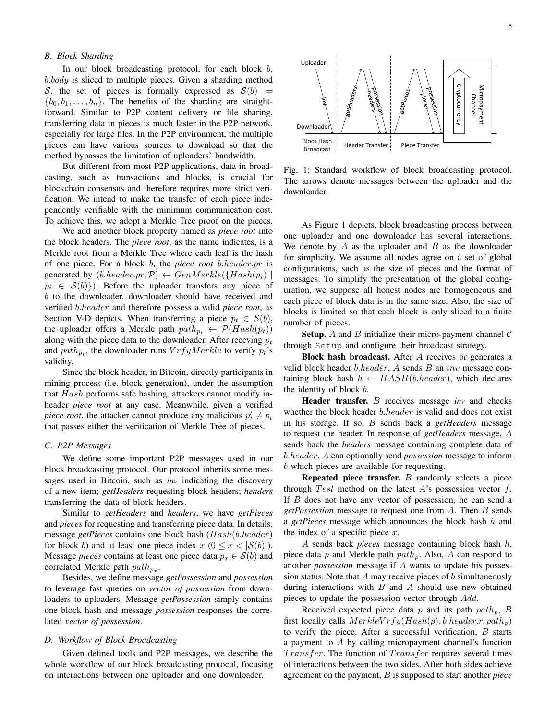# *B. Block Sharding*

In our block broadcasting protocol, for each block  $b$ , b.body is sliced to multiple pieces. Given a sharding method S, the set of pieces is formally expressed as  $S(b)$  =  ${b_0, b_1, \ldots, b_n}$ . The benefits of the sharding are straightforward. Similar to P2P content delivery or file sharing, transferring data in pieces is much faster in the P2P network, especially for large files. In the P2P environment, the multiple pieces can have various sources to download so that the method bypasses the limitation of uploaders' bandwidth.

But different from most P2P applications, data in broadcasting, such as transactions and blocks, is crucial for blockchain consensus and therefore requires more strict verification. We intend to make the transfer of each piece independently verifiable with the minimum communication cost. To achieve this, we adopt a Merkle Tree proof on the pieces.

We add another block property named as *piece root* into the block headers. The *piece root*, as the name indicates, is a Merkle root from a Merkle Tree where each leaf is the hash of one piece. For a block b, the *piece root* b.header.pr is generated by  $(b\text{.header}, pr, \mathcal{P}) \leftarrow GenMerkle({\{Hash(p_i) \mid}$  $p_i \in S(b)$ . Before the uploader transfers any piece of b to the downloader, downloader should have received and verified b.header and therefore possess a valid *piece root*, as Section V-D depicts. When transferring a piece  $p_t \in S(b)$ , the uploader offers a Merkle path  $path_{p_t} \leftarrow \mathcal{P}(Hash(p_t))$ along with the piece data to the downloader. After receving  $p_t$ and  $path_{p_t}$ , the downloader runs  $VrfyMerkle$  to verify  $p_t$ 's validity.

Since the block header, in Bitcoin, directly participants in mining process (i.e. block generation), under the assumption that Hash performs safe hashing, attackers cannot modify inheader *piece root* at any case. Meanwhile, given a verified *piece root*, the attacker cannot produce any malicious  $p'_t \neq p_t$ that passes either the verification of Merkle Tree of pieces.

#### *C. P2P Messages*

We define some important P2P messages used in our block broadcasting protocol. Our protocol inherits some messages used in Bitcoin, such as *inv* indicating the discovery of a new item; *getHeaders* requesting block headers; *headers* transferring the data of block headers.

Similar to *getHeaders* and *headers*, we have *getPieces* and *pieces* for requesting and transferring piece data. In details, message *getPieces* contains one block hash (Hash(b.header) for block b) and at least one piece index  $x (0 \le x < |\mathcal{S}(b)|)$ . Message *pieces* contains at least one piece data  $p_x \in S(b)$  and correlated Merkle path  $path_{p_x}$ .

Besides, we define message *getPossession* and *possession* to leverage fast queries on *vector of possession* from downloaders to uploaders. Message *getPossession* simply contains one block hash and message *possession* responses the correlated *vector of possession*.

## *D. Workflow of Block Broadcasting*

Given defined tools and P2P messages, we describe the whole workflow of our block broadcasting protocol, focusing on interactions between one uploader and one downloader.



Fig. 1: Standard workflow of block broadcasting protocol. The arrows denote messages between the uploader and the downloader.

As Figure 1 depicts, block broadcasting process between one uploader and one downloader has several interactions. We denote by  $A$  as the uploader and  $B$  as the downloader for simplicity. We assume all nodes agree on a set of global configurations, such as the size of pieces and the format of messages. To simplify the presentation of the global configuration, we suppose all honest nodes are homogeneous and each piece of block data is in the same size. Also, the size of blocks is limited so that each block is only sliced to a finite number of pieces.

**Setup.** A and B initialize their micro-payment channel  $\mathcal{C}$ through Setup and configure their broadcast strategy.

Block hash broadcast. After A receives or generates a valid block header  $b\text{.}header$ ,  $A$  sends  $B$  an  $inv$  message containing block hash  $h \leftarrow HASH(b header)$ , which declares the identity of block b.

Header transfer. B receives message *inv* and checks whether the block header *b.header* is valid and does not exist in his storage. If so, B sends back a *getHeaders* message to request the header. In response of *getHeaders* message, A sends back the *headers* message containing complete data of b.header. A can optionally send *possession* message to inform b which pieces are available for requesting.

Repeated piece transfer. B randomly selects a piece through Test method on the latest  $A$ 's possession vector  $f$ . If B does not have any vector of possession, he can send a *getPossession* message to request one from A. Then B sends a *getPieces* message which announces the block hash h and the index of a specific piece  $x$ .

A sends back *pieces* message containing block hash h, piece data  $p$  and Merkle path  $path_p$ . Also,  $A$  can respond to another *possession* message if A wants to update his possession status. Note that  $A$  may receive pieces of  $b$  simultaneously during interactions with  $B$  and  $A$  should use new obtained pieces to update the possession vector through Add.

Received expected piece data  $p$  and its path  $path_p$ ,  $B$ first locally calls  $MerkleVrfy(Hash(p), b.header.r, path<sub>n</sub>)$ to verify the piece. After a successful verification,  $B$  starts a payment to A by calling micropayment channel's function  $Transfer$ . The function of  $Transfer$  requires several times of interactions between the two sides. After both sides achieve agreement on the payment, B is supposed to start another *piece*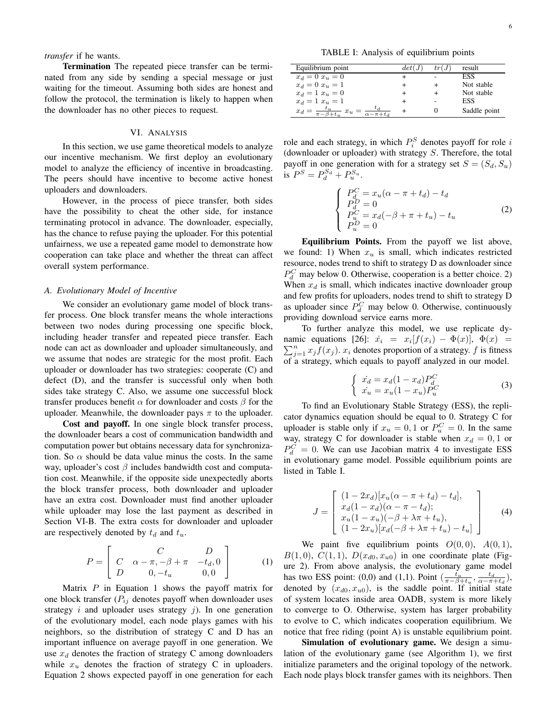*transfer* if he wants.

Termination The repeated piece transfer can be terminated from any side by sending a special message or just waiting for the timeout. Assuming both sides are honest and follow the protocol, the termination is likely to happen when the downloader has no other pieces to request.

## VI. ANALYSIS

In this section, we use game theoretical models to analyze our incentive mechanism. We first deploy an evolutionary model to analyze the efficiency of incentive in broadcasting. The peers should have incentive to become active honest uploaders and downloaders.

However, in the process of piece transfer, both sides have the possibility to cheat the other side, for instance terminating protocol in advance. The downloader, especially, has the chance to refuse paying the uploader. For this potential unfairness, we use a repeated game model to demonstrate how cooperation can take place and whether the threat can affect overall system performance.

# *A. Evolutionary Model of Incentive*

We consider an evolutionary game model of block transfer process. One block transfer means the whole interactions between two nodes during processing one specific block, including header transfer and repeated piece transfer. Each node can act as downloader and uploader simultaneously, and we assume that nodes are strategic for the most profit. Each uploader or downloader has two strategies: cooperate (C) and defect (D), and the transfer is successful only when both sides take strategy C. Also, we assume one successful block transfer produces benefit  $\alpha$  for downloader and costs  $\beta$  for the uploader. Meanwhile, the downloader pays  $\pi$  to the uploader.

Cost and payoff. In one single block transfer process, the downloader bears a cost of communication bandwidth and computation power but obtains necessary data for synchronization. So  $\alpha$  should be data value minus the costs. In the same way, uploader's cost  $\beta$  includes bandwidth cost and computation cost. Meanwhile, if the opposite side unexpectedly aborts the block transfer process, both downloader and uploader have an extra cost. Downloader must find another uploader while uploader may lose the last payment as described in Section VI-B. The extra costs for downloader and uploader are respectively denoted by  $t_d$  and  $t_u$ .

$$
P = \begin{bmatrix} C & D \\ C & \alpha - \pi, -\beta + \pi & -t_d, 0 \\ D & 0, -t_u & 0, 0 \end{bmatrix}
$$
 (1)

Matrix  $P$  in Equation 1 shows the payoff matrix for one block transfer  $(P_{ij}$  denotes payoff when downloader uses strategy  $i$  and uploader uses strategy  $j$ ). In one generation of the evolutionary model, each node plays games with his neighbors, so the distribution of strategy C and D has an important influence on average payoff in one generation. We use  $x_d$  denotes the fraction of strategy C among downloaders while  $x_u$  denotes the fraction of strategy C in uploaders. Equation 2 shows expected payoff in one generation for each

TABLE I: Analysis of equilibrium points

| Equilibrium point                                                               | det(J) | tr(j | result       |
|---------------------------------------------------------------------------------|--------|------|--------------|
| $x_d = 0$ $x_u = 0$                                                             |        | ۰    | ESS          |
| $x_d = 0$ $x_u = 1$                                                             |        |      | Not stable   |
| $x_d = 1$ $x_u = 0$                                                             |        |      | Not stable   |
| $x_d = 1$ $x_u = 1$                                                             |        |      | ESS          |
| $x_d = \frac{t_u}{\pi - \beta + t_u}$<br>$x_u$<br>$\overline{\alpha-\pi+t_{d}}$ |        |      | Saddle point |

role and each strategy, in which  $P_i^S$  denotes payoff for role i (downloader or uploader) with strategy S. Therefore, the total payoff in one generation with for a strategy set  $S = (S_d, S_u)$ is  $P^{S} = P_{d}^{S_{d}} + P_{u}^{S_{u}}$ .

$$
\begin{cases}\nP_G^C = x_u(\alpha - \pi + t_d) - t_d \\
P_d^D = 0 \\
P_G^C = x_d(-\beta + \pi + t_u) - t_u \\
P_u^D = 0\n\end{cases} \tag{2}
$$

Equilibrium Points. From the payoff we list above, we found: 1) When  $x_u$  is small, which indicates restricted resource, nodes trend to shift to strategy D as downloader since  $P_d^C$  may below 0. Otherwise, cooperation is a better choice. 2) When  $x_d$  is small, which indicates inactive downloader group and few profits for uploaders, nodes trend to shift to strategy D as uploader since  $P_d^C$  may below 0. Otherwise, continuously providing download service earns more.

To further analyze this model, we use replicate dynamic equations [26]:  $\dot{x}_i = x_i[f(x_i) - \Phi(x)], \Phi(x) =$  $\sum_{j=1}^{n} x_j f(x_j)$ .  $x_i$  denotes proportion of a strategy. f is fitness of a strategy, which equals to payoff analyzed in our model.

$$
\begin{cases}\n\dot{x_d} = x_d(1 - x_d)P_d^C \\
\dot{x_u} = x_u(1 - x_u)P_u^C\n\end{cases}
$$
\n(3)

To find an Evolutionary Stable Strategy (ESS), the replicator dynamics equation should be equal to 0. Strategy C for uploader is stable only if  $x_u = 0, 1$  or  $P_u^C = 0$ . In the same way, strategy C for downloader is stable when  $x_d = 0, 1$  or  $P_d^C = 0$ . We can use Jacobian matrix 4 to investigate ESS in evolutionary game model. Possible equilibrium points are listed in Table I.

$$
J = \begin{bmatrix} (1 - 2x_d)[x_u(\alpha - \pi + t_d) - t_d], \\ x_d(1 - x_d)(\alpha - \pi - t_d); \\ x_u(1 - x_u)(-\beta + \lambda \pi + t_u), \\ (1 - 2x_u)[x_d(-\beta + \lambda \pi + t_u) - t_u] \end{bmatrix}
$$
(4)

We paint five equilibrium points  $O(0,0)$ ,  $A(0,1)$ ,  $B(1,0), C(1,1), D(x_{d0}, x_{u0})$  in one coordinate plate (Figure 2). From above analysis, the evolutionary game model has two ESS point: (0,0) and (1,1). Point  $\left(\frac{t_u}{\pi-\beta+t_u}, \frac{t_d}{\alpha-\pi+t_d}\right)$ , denoted by  $(x_{d0}, x_{u0})$ , is the saddle point. If initial state of system locates inside area OADB, system is more likely to converge to O. Otherwise, system has larger probability to evolve to C, which indicates cooperation equilibrium. We notice that free riding (point A) is unstable equilibrium point.

Simulation of evolutionary game. We design a simulation of the evolutionary game (see Algorithm 1), we first initialize parameters and the original topology of the network. Each node plays block transfer games with its neighbors. Then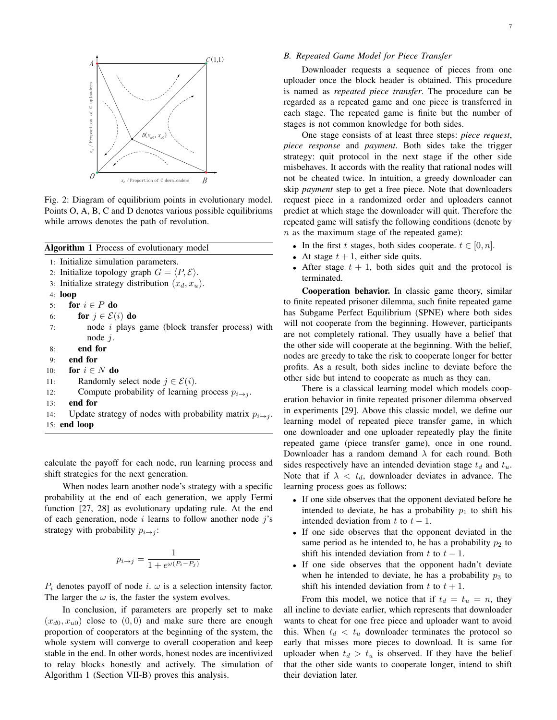

Fig. 2: Diagram of equilibrium points in evolutionary model. Points O, A, B, C and D denotes various possible equilibriums while arrows denotes the path of revolution.

| <b>Algorithm 1</b> Process of evolutionary model                        |
|-------------------------------------------------------------------------|
| 1: Initialize simulation parameters.                                    |
| 2: Initialize topology graph $G = \langle P, \mathcal{E} \rangle$ .     |
| 3: Initialize strategy distribution $(x_d, x_u)$ .                      |
| 4: $loop$                                                               |
| for $i \in P$ do<br>5:                                                  |
| for $j \in \mathcal{E}(i)$ do<br>6:                                     |
| node <i>i</i> plays game (block transfer process) with<br>7:            |
| node $i$ .                                                              |
| end for<br>8:                                                           |
| end for<br>9:                                                           |
| for $i \in N$ do<br>10:                                                 |
| Randomly select node $j \in \mathcal{E}(i)$ .<br>11:                    |
| Compute probability of learning process $p_{i\rightarrow j}$ .<br>12:   |
| end for<br>13:                                                          |
| Update strategy of nodes with probability matrix $p_{i \to j}$ .<br>14: |
| $15:$ end loop                                                          |

calculate the payoff for each node, run learning process and shift strategies for the next generation.

When nodes learn another node's strategy with a specific probability at the end of each generation, we apply Fermi function [27, 28] as evolutionary updating rule. At the end of each generation, node  $i$  learns to follow another node  $j$ 's strategy with probability  $p_{i \rightarrow j}$ :

$$
p_{i\to j} = \frac{1}{1+e^{\omega(P_i - P_j)}}
$$

 $P_i$  denotes payoff of node i.  $\omega$  is a selection intensity factor. The larger the  $\omega$  is, the faster the system evolves.

In conclusion, if parameters are properly set to make  $(x_{d0}, x_{u0})$  close to  $(0, 0)$  and make sure there are enough proportion of cooperators at the beginning of the system, the whole system will converge to overall cooperation and keep stable in the end. In other words, honest nodes are incentivized to relay blocks honestly and actively. The simulation of Algorithm 1 (Section VII-B) proves this analysis.

Downloader requests a sequence of pieces from one uploader once the block header is obtained. This procedure is named as *repeated piece transfer*. The procedure can be regarded as a repeated game and one piece is transferred in each stage. The repeated game is finite but the number of stages is not common knowledge for both sides.

One stage consists of at least three steps: *piece request*, *piece response* and *payment*. Both sides take the trigger strategy: quit protocol in the next stage if the other side misbehaves. It accords with the reality that rational nodes will not be cheated twice. In intuition, a greedy downloader can skip *payment* step to get a free piece. Note that downloaders request piece in a randomized order and uploaders cannot predict at which stage the downloader will quit. Therefore the repeated game will satisfy the following conditions (denote by  $n$  as the maximum stage of the repeated game):

- In the first t stages, both sides cooperate.  $t \in [0, n]$ .
- At stage  $t + 1$ , either side quits.
- After stage  $t + 1$ , both sides quit and the protocol is terminated.

Cooperation behavior. In classic game theory, similar to finite repeated prisoner dilemma, such finite repeated game has Subgame Perfect Equilibrium (SPNE) where both sides will not cooperate from the beginning. However, participants are not completely rational. They usually have a belief that the other side will cooperate at the beginning. With the belief, nodes are greedy to take the risk to cooperate longer for better profits. As a result, both sides incline to deviate before the other side but intend to cooperate as much as they can.

There is a classical learning model which models cooperation behavior in finite repeated prisoner dilemma observed in experiments [29]. Above this classic model, we define our learning model of repeated piece transfer game, in which one downloader and one uploader repeatedly play the finite repeated game (piece transfer game), once in one round. Downloader has a random demand  $\lambda$  for each round. Both sides respectively have an intended deviation stage  $t_d$  and  $t_u$ . Note that if  $\lambda < t_d$ , downloader deviates in advance. The learning process goes as follows:

- If one side observes that the opponent deviated before he intended to deviate, he has a probability  $p_1$  to shift his intended deviation from t to  $t - 1$ .
- If one side observes that the opponent deviated in the same period as he intended to, he has a probability  $p_2$  to shift his intended deviation from t to  $t - 1$ .
- If one side observes that the opponent hadn't deviate when he intended to deviate, he has a probability  $p_3$  to shift his intended deviation from t to  $t + 1$ .

From this model, we notice that if  $t_d = t_u = n$ , they all incline to deviate earlier, which represents that downloader wants to cheat for one free piece and uploader want to avoid this. When  $t_d < t_u$  downloader terminates the protocol so early that misses more pieces to download. It is same for uploader when  $t_d > t_u$  is observed. If they have the belief that the other side wants to cooperate longer, intend to shift their deviation later.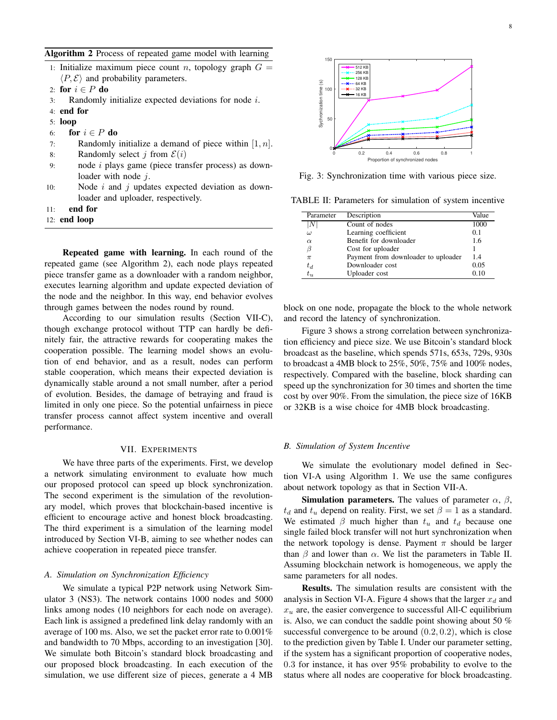|  | 1: Initialize maximum piece count <i>n</i> , topology graph $G =$ |  |  |  |  |
|--|-------------------------------------------------------------------|--|--|--|--|
|  | $\langle P, \mathcal{E} \rangle$ and probability parameters.      |  |  |  |  |

- 2: for  $i \in P$  do
- 3: Randomly initialize expected deviations for node i.
- 4: end for
- 5: loop
- 6: for  $i \in P$  do
- 7: Randomly initialize a demand of piece within  $[1, n]$ .
- 8: Randomly select j from  $\mathcal{E}(i)$
- 9: node i plays game (piece transfer process) as downloader with node  $j$ .
- 10: Node  $i$  and  $j$  updates expected deviation as downloader and uploader, respectively.
- 11: end for
- 12: end loop

Repeated game with learning. In each round of the repeated game (see Algorithm 2), each node plays repeated piece transfer game as a downloader with a random neighbor, executes learning algorithm and update expected deviation of the node and the neighbor. In this way, end behavior evolves through games between the nodes round by round.

According to our simulation results (Section VII-C), though exchange protocol without TTP can hardly be definitely fair, the attractive rewards for cooperating makes the cooperation possible. The learning model shows an evolution of end behavior, and as a result, nodes can perform stable cooperation, which means their expected deviation is dynamically stable around a not small number, after a period of evolution. Besides, the damage of betraying and fraud is limited in only one piece. So the potential unfairness in piece transfer process cannot affect system incentive and overall performance.

## VII. EXPERIMENTS

We have three parts of the experiments. First, we develop a network simulating environment to evaluate how much our proposed protocol can speed up block synchronization. The second experiment is the simulation of the revolutionary model, which proves that blockchain-based incentive is efficient to encourage active and honest block broadcasting. The third experiment is a simulation of the learning model introduced by Section VI-B, aiming to see whether nodes can achieve cooperation in repeated piece transfer.

#### *A. Simulation on Synchronization Efficiency*

We simulate a typical P2P network using Network Simulator 3 (NS3). The network contains 1000 nodes and 5000 links among nodes (10 neighbors for each node on average). Each link is assigned a predefined link delay randomly with an average of 100 ms. Also, we set the packet error rate to 0.001% and bandwidth to 70 Mbps, according to an investigation [30]. We simulate both Bitcoin's standard block broadcasting and our proposed block broadcasting. In each execution of the simulation, we use different size of pieces, generate a 4 MB



Fig. 3: Synchronization time with various piece size.

TABLE II: Parameters for simulation of system incentive

| Parameter       | Description                         | Value |
|-----------------|-------------------------------------|-------|
| ΙN              | Count of nodes                      | 1000  |
| $\omega$        | Learning coefficient                | 0.1   |
| $\alpha$        | Benefit for downloader              | 1.6   |
|                 | Cost for uploader                   |       |
| $\pi$           | Payment from downloader to uploader | 14    |
| $t_d$           | Downloader cost                     | 0.05  |
| $t_{\rm \it n}$ | Uploader cost                       | 0.10  |

block on one node, propagate the block to the whole network and record the latency of synchronization.

Figure 3 shows a strong correlation between synchronization efficiency and piece size. We use Bitcoin's standard block broadcast as the baseline, which spends 571s, 653s, 729s, 930s to broadcast a 4MB block to 25%, 50%, 75% and 100% nodes, respectively. Compared with the baseline, block sharding can speed up the synchronization for 30 times and shorten the time cost by over 90%. From the simulation, the piece size of 16KB or 32KB is a wise choice for 4MB block broadcasting.

#### *B. Simulation of System Incentive*

We simulate the evolutionary model defined in Section VI-A using Algorithm 1. We use the same configures about network topology as that in Section VII-A.

**Simulation parameters.** The values of parameter  $\alpha$ ,  $\beta$ ,  $t_d$  and  $t_u$  depend on reality. First, we set  $\beta = 1$  as a standard. We estimated  $\beta$  much higher than  $t_u$  and  $t_d$  because one single failed block transfer will not hurt synchronization when the network topology is dense. Payment  $\pi$  should be larger than  $\beta$  and lower than  $\alpha$ . We list the parameters in Table II. Assuming blockchain network is homogeneous, we apply the same parameters for all nodes.

Results. The simulation results are consistent with the analysis in Section VI-A. Figure 4 shows that the larger  $x_d$  and  $x<sub>u</sub>$  are, the easier convergence to successful All-C equilibrium is. Also, we can conduct the saddle point showing about 50 % successful convergence to be around  $(0.2, 0.2)$ , which is close to the prediction given by Table I. Under our parameter setting, if the system has a significant proportion of cooperative nodes, 0.3 for instance, it has over 95% probability to evolve to the status where all nodes are cooperative for block broadcasting.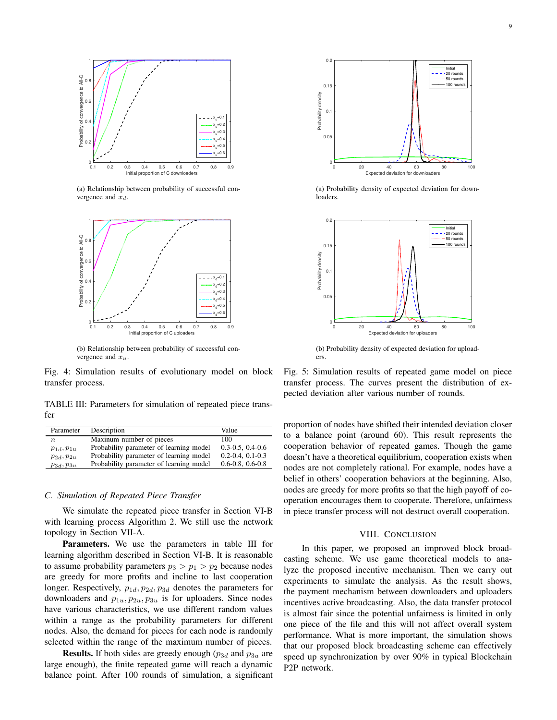

(a) Relationship between probability of successful convergence and  $x_d$ .



(b) Relationship between probability of successful convergence and  $x_u$ 

Fig. 4: Simulation results of evolutionary model on block transfer process.

TABLE III: Parameters for simulation of repeated piece transfer

| Parameter        | Description                             | Value                     |
|------------------|-----------------------------------------|---------------------------|
| $\boldsymbol{n}$ | Maxinum number of pieces                | 100                       |
| $p_{1d}, p_{1u}$ | Probability parameter of learning model | $0.3 - 0.5$ , $0.4 - 0.6$ |
| $p_{2d}, p_{2u}$ | Probability parameter of learning model | $0.2 - 0.4$ , $0.1 - 0.3$ |
| $p_{3d}, p_{3u}$ | Probability parameter of learning model | $0.6 - 0.8$ , $0.6 - 0.8$ |

# *C. Simulation of Repeated Piece Transfer*

We simulate the repeated piece transfer in Section VI-B with learning process Algorithm 2. We still use the network topology in Section VII-A.

Parameters. We use the parameters in table III for learning algorithm described in Section VI-B. It is reasonable to assume probability parameters  $p_3 > p_1 > p_2$  because nodes are greedy for more profits and incline to last cooperation longer. Respectively,  $p_{1d}, p_{2d}, p_{3d}$  denotes the parameters for downloaders and  $p_{1u}, p_{2u}, p_{3u}$  is for uploaders. Since nodes have various characteristics, we use different random values within a range as the probability parameters for different nodes. Also, the demand for pieces for each node is randomly selected within the range of the maximum number of pieces.

**Results.** If both sides are greedy enough  $(p_{3d}$  and  $p_{3u}$  are large enough), the finite repeated game will reach a dynamic balance point. After 100 rounds of simulation, a significant



(a) Probability density of expected deviation for downloaders.



(b) Probability density of expected deviation for uploaders.

Fig. 5: Simulation results of repeated game model on piece transfer process. The curves present the distribution of expected deviation after various number of rounds.

proportion of nodes have shifted their intended deviation closer to a balance point (around 60). This result represents the cooperation behavior of repeated games. Though the game doesn't have a theoretical equilibrium, cooperation exists when nodes are not completely rational. For example, nodes have a belief in others' cooperation behaviors at the beginning. Also, nodes are greedy for more profits so that the high payoff of cooperation encourages them to cooperate. Therefore, unfairness in piece transfer process will not destruct overall cooperation.

## VIII. CONCLUSION

In this paper, we proposed an improved block broadcasting scheme. We use game theoretical models to analyze the proposed incentive mechanism. Then we carry out experiments to simulate the analysis. As the result shows, the payment mechanism between downloaders and uploaders incentives active broadcasting. Also, the data transfer protocol is almost fair since the potential unfairness is limited in only one piece of the file and this will not affect overall system performance. What is more important, the simulation shows that our proposed block broadcasting scheme can effectively speed up synchronization by over 90% in typical Blockchain P2P network.